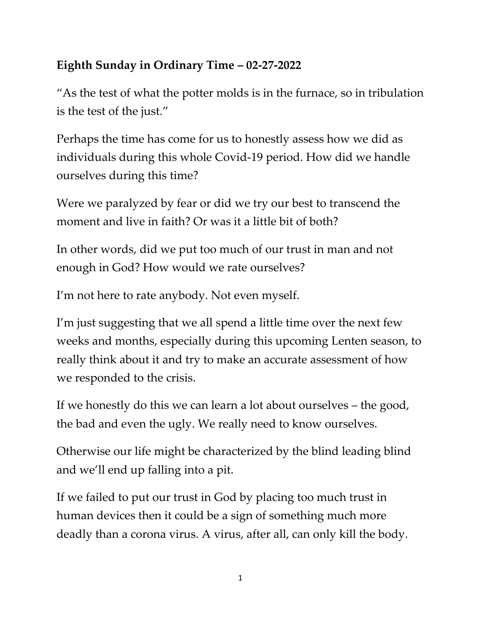## **Eighth Sunday in Ordinary Time – 02-27-2022**

"As the test of what the potter molds is in the furnace, so in tribulation is the test of the just."

Perhaps the time has come for us to honestly assess how we did as individuals during this whole Covid-19 period. How did we handle ourselves during this time?

Were we paralyzed by fear or did we try our best to transcend the moment and live in faith? Or was it a little bit of both?

In other words, did we put too much of our trust in man and not enough in God? How would we rate ourselves?

I'm not here to rate anybody. Not even myself.

I'm just suggesting that we all spend a little time over the next few weeks and months, especially during this upcoming Lenten season, to really think about it and try to make an accurate assessment of how we responded to the crisis.

If we honestly do this we can learn a lot about ourselves – the good, the bad and even the ugly. We really need to know ourselves.

Otherwise our life might be characterized by the blind leading blind and we'll end up falling into a pit.

If we failed to put our trust in God by placing too much trust in human devices then it could be a sign of something much more deadly than a corona virus. A virus, after all, can only kill the body.